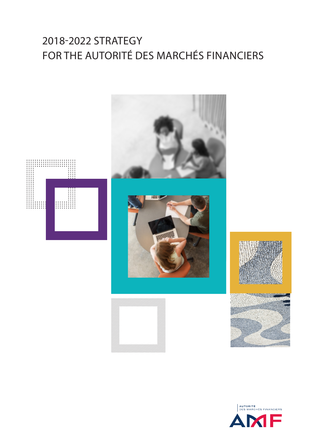# 2018-2022 STRATEGY FOR THE AUTORITÉ DES MARCHÉS FINANCIERS



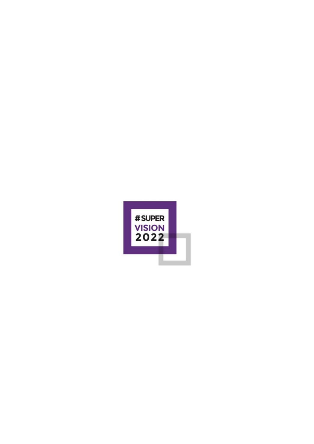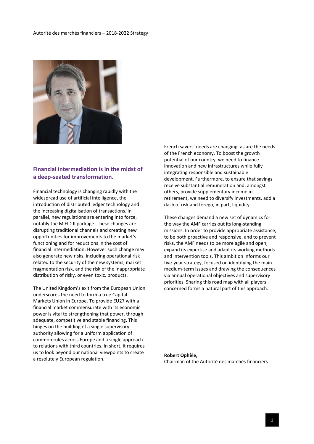

#### **Financial intermediation is in the midst of a deep-seated transformation.**

Financial technology is changing rapidly with the widespread use of artificial intelligence, the introduction of distributed ledger technology and the increasing digitalisation of transactions. In parallel, new regulations are entering into force, notably the MiFID II package. These changes are disrupting traditional channels and creating new opportunities for improvements to the market's functioning and for reductions in the cost of financial intermediation. However such change may also generate new risks, including operational risk related to the security of the new systems, market fragmentation risk, and the risk of the inappropriate distribution of risky, or even toxic, products.

The United Kingdom's exit from the European Union underscores the need to form a true Capital Markets Union in Europe. To provide EU27 with a financial market commensurate with its economic power is vital to strengthening that power, through adequate, competitive and stable financing. This hinges on the building of a single supervisory authority allowing for a uniform application of common rules across Europe and a single approach to relations with third countries. In short, it requires us to look beyond our national viewpoints to create a resolutely European regulation.

French savers' needs are changing, as are the needs of the French economy. To boost the growth potential of our country, we need to finance innovation and new infrastructures while fully integrating responsible and sustainable development. Furthermore, to ensure that savings receive substantial remuneration and, amongst others, provide supplementary income in retirement, we need to diversify investments, add a dash of risk and forego, in part, liquidity.

These changes demand a new set of dynamics for the way the AMF carries out its long-standing missions. In order to provide appropriate assistance, to be both proactive and responsive, and to prevent risks, the AMF needs to be more agile and open, expand its expertise and adapt its working methods and intervention tools. This ambition informs our five-year strategy, focused on identifying the main medium-term issues and drawing the consequences via annual operational objectives and supervisory priorities. Sharing this road map with all players concerned forms a natural part of this approach.

#### **Robert Ophèle,**  Chairman of the Autorité des marchés financiers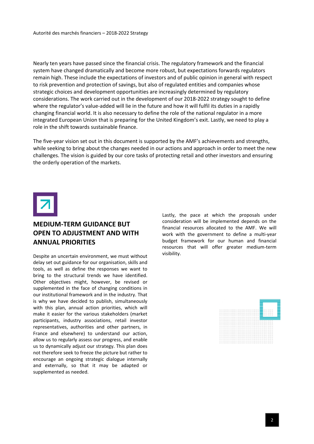Nearly ten years have passed since the financial crisis. The regulatory framework and the financial system have changed dramatically and become more robust, but expectations forwards regulators remain high. These include the expectations of investors and of public opinion in general with respect to risk prevention and protection of savings, but also of regulated entities and companies whose strategic choices and development opportunities are increasingly determined by regulatory considerations. The work carried out in the development of our 2018-2022 strategy sought to define where the regulator's value-added will lie in the future and how it will fulfil its duties in a rapidly changing financial world. It is also necessary to define the role of the national regulator in a more integrated European Union that is preparing for the United Kingdom's exit. Lastly, we need to play a role in the shift towards sustainable finance.

The five-year vision set out in this document is supported by the AMF's achievements and strengths, while seeking to bring about the changes needed in our actions and approach in order to meet the new challenges. The vision is guided by our core tasks of protecting retail and other investors and ensuring the orderly operation of the markets.



#### **MEDIUM-TERM GUIDANCE BUT OPEN TO ADJUSTMENT AND WITH ANNUAL PRIORITIES**

Despite an uncertain environment, we must without delay set out guidance for our organisation, skills and tools, as well as define the responses we want to bring to the structural trends we have identified. Other objectives might, however, be revised or supplemented in the face of changing conditions in our institutional framework and in the industry. That is why we have decided to publish, simultaneously with this plan, annual action priorities, which will make it easier for the various stakeholders (market participants, industry associations, retail investor representatives, authorities and other partners, in France and elsewhere) to understand our action, allow us to regularly assess our progress, and enable us to dynamically adjust our strategy. This plan does not therefore seek to freeze the picture but rather to encourage an ongoing strategic dialogue internally and externally, so that it may be adapted or supplemented as needed.

Lastly, the pace at which the proposals under consideration will be implemented depends on the financial resources allocated to the AMF. We will work with the government to define a multi-year budget framework for our human and financial resources that will offer greater medium-term visibility.

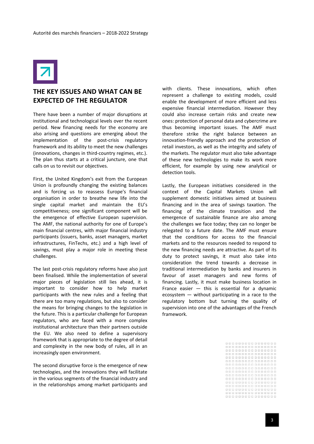

#### **THE KEY ISSUES AND WHAT CAN BE EXPECTED OF THE REGULATOR**

There have been a number of major disruptions at institutional and technological levels over the recent period. New financing needs for the economy are also arising and questions are emerging about the implementation of the post-crisis regulatory framework and its ability to meet the new challenges (innovations, changes in third-country regimes, etc.). The plan thus starts at a critical juncture, one that calls on us to revisit our objectives.

First, the United Kingdom's exit from the European Union is profoundly changing the existing balances and is forcing us to reassess Europe's financial organisation in order to breathe new life into the single capital market and maintain the EU's competitiveness; one significant component will be the emergence of effective European supervision. The AMF, the national authority for one of Europe's main financial centres, with major financial industry participants (issuers, banks, asset managers, market infrastructures, FinTechs, etc.) and a high level of savings, must play a major role in meeting these challenges.

The last post-crisis regulatory reforms have also just been finalised. While the implementation of several major pieces of legislation still lies ahead, it is important to consider how to help market participants with the new rules and a feeling that there are too many regulations, but also to consider the means for bringing changes to the legislation in the future. This is a particular challenge for European regulators, who are faced with a more complex institutional architecture than their partners outside the EU. We also need to define a supervisory framework that is appropriate to the degree of detail and complexity in the new body of rules, all in an increasingly open environment.

The second disruptive force is the emergence of new technologies, and the innovations they will facilitate in the various segments of the financial industry and in the relationships among market participants and with clients. These innovations, which often represent a challenge to existing models, could enable the development of more efficient and less expensive financial intermediation. However they could also increase certain risks and create new ones: protection of personal data and cybercrime are thus becoming important issues. The AMF must therefore strike the right balance between an innovation-friendly approach and the protection of retail investors, as well as the integrity and safety of the markets. The regulator must also take advantage of these new technologies to make its work more efficient, for example by using new analytical or detection tools.

Lastly, the European initiatives considered in the context of the Capital Markets Union will supplement domestic initiatives aimed at business financing and in the area of savings taxation. The financing of the climate transition and the emergence of sustainable finance are also among the challenges we face today; they can no longer be relegated to a future date. The AMF must ensure that the conditions for access to the financial markets and to the resources needed to respond to the new financing needs are attractive. As part of its duty to protect savings, it must also take into consideration the trend towards a decrease in traditional intermediation by banks and insurers in favour of asset managers and new forms of financing. Lastly, it must make business location in France easier  $-$  this is essential for a dynamic ecosystem — without participating in a race to the regulatory bottom but turning the quality of supervision into one of the advantages of the French framework.

|  | 000000000000000  |              |  |  |  |  |  |  |
|--|------------------|--------------|--|--|--|--|--|--|
|  | 000000000000000  |              |  |  |  |  |  |  |
|  | 000000000000000  |              |  |  |  |  |  |  |
|  | 000000000000000  |              |  |  |  |  |  |  |
|  | 000000000000000  |              |  |  |  |  |  |  |
|  | 000000000000000  |              |  |  |  |  |  |  |
|  | 0000000000000000 |              |  |  |  |  |  |  |
|  | 000000000000000  |              |  |  |  |  |  |  |
|  | 000000000000000  |              |  |  |  |  |  |  |
|  | 000000000000000  |              |  |  |  |  |  |  |
|  | 000000000000000  |              |  |  |  |  |  |  |
|  | 000000000000000  |              |  |  |  |  |  |  |
|  | 000000000000000  |              |  |  |  |  |  |  |
|  |                  | 000000000000 |  |  |  |  |  |  |
|  | 0000000000000000 |              |  |  |  |  |  |  |
|  |                  | 000000000000 |  |  |  |  |  |  |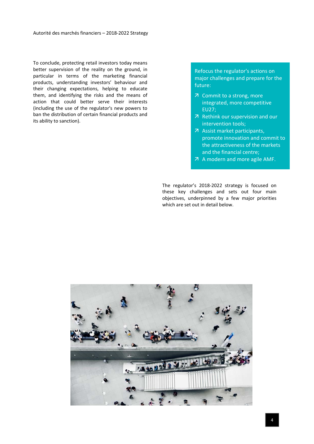To conclude, protecting retail investors today means better supervision of the reality on the ground, in particular in terms of the marketing financial products, understanding investors' behaviour and their changing expectations, helping to educate them, and identifying the risks and the means of action that could better serve their interests (including the use of the regulator's new powers to ban the distribution of certain financial products and its ability to sanction).

Refocus the regulator's actions on major challenges and prepare for the future:

- 7 Commit to a strong, more integrated, more competitive EU27;
- $\n *R*$  Rethink our supervision and our intervention tools;
- Assist market participants, promote innovation and commit to the attractiveness of the markets and the financial centre;
- A modern and more agile AMF.

The regulator's 2018-2022 strategy is focused on these key challenges and sets out four main objectives, underpinned by a few major priorities which are set out in detail below.

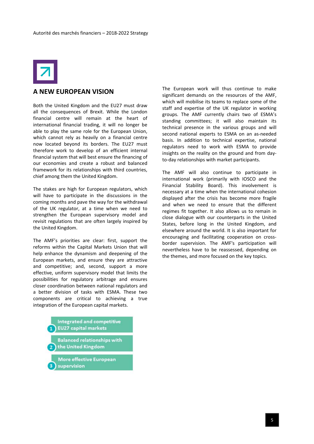

#### **A NEW EUROPEAN VISION**

Both the United Kingdom and the EU27 must draw all the consequences of Brexit. While the London financial centre will remain at the heart of international financial trading, it will no longer be able to play the same role for the European Union, which cannot rely as heavily on a financial centre now located beyond its borders. The EU27 must therefore work to develop of an efficient internal financial system that will best ensure the financing of our economies and create a robust and balanced framework for its relationships with third countries, chief among them the United Kingdom.

The stakes are high for European regulators, which will have to participate in the discussions in the coming months and pave the way for the withdrawal of the UK regulator, at a time when we need to strengthen the European supervisory model and revisit regulations that are often largely inspired by the United Kingdom.

The AMF's priorities are clear: first, support the reforms within the Capital Markets Union that will help enhance the dynamism and deepening of the European markets, and ensure they are attractive and competitive; and, second, support a more effective, uniform supervisory model that limits the possibilities for regulatory arbitrage and ensures closer coordination between national regulators and a better division of tasks with ESMA. These two components are critical to achieving a true integration of the European capital markets.



The European work will thus continue to make significant demands on the resources of the AMF, which will mobilise its teams to replace some of the staff and expertise of the UK regulator in working groups. The AMF currently chairs two of ESMA's standing committees; it will also maintain its technical presence in the various groups and will second national experts to ESMA on an as-needed basis. In addition to technical expertise, national regulators need to work with ESMA to provide insights on the reality on the ground and from dayto-day relationships with market participants.

The AMF will also continue to participate in international work (primarily with IOSCO and the Financial Stability Board). This involvement is necessary at a time when the international cohesion displayed after the crisis has become more fragile and when we need to ensure that the different regimes fit together. It also allows us to remain in close dialogue with our counterparts in the United States, before long in the United Kingdom, and elsewhere around the world. It is also important for encouraging and facilitating cooperation on crossborder supervision. The AMF's participation will nevertheless have to be reassessed, depending on the themes, and more focused on the key topics.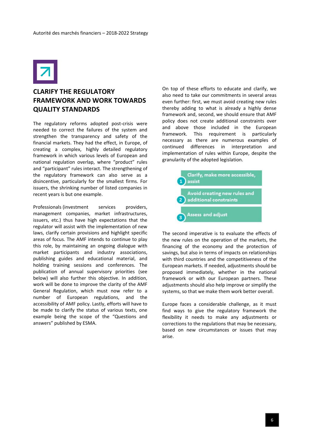

## **CLARIFY THE REGULATORY FRAMEWORK AND WORK TOWARDS QUALITY STANDARDS**

The regulatory reforms adopted post-crisis were needed to correct the failures of the system and strengthen the transparency and safety of the financial markets. They had the effect, in Europe, of creating a complex, highly detailed regulatory framework in which various levels of European and national regulation overlap, where "product" rules and "participant" rules interact. The strengthening of the regulatory framework can also serve as a disincentive, particularly for the smallest firms. For issuers, the shrinking number of listed companies in recent years is but one example.

Professionals (investment services providers, management companies, market infrastructures, issuers, etc.) thus have high expectations that the regulator will assist with the implementation of new laws, clarify certain provisions and highlight specific areas of focus. The AMF intends to continue to play this role, by maintaining an ongoing dialogue with market participants and industry associations, publishing guides and educational material, and holding training sessions and conferences. The publication of annual supervisory priorities (see below) will also further this objective. In addition, work will be done to improve the clarity of the AMF General Regulation, which must now refer to a number of European regulations, and the accessibility of AMF policy. Lastly, efforts will have to be made to clarify the status of various texts, one example being the scope of the "Questions and answers" published by ESMA.

On top of these efforts to educate and clarify, we also need to take our commitments in several areas even further: first, we must avoid creating new rules thereby adding to what is already a highly dense framework and, second, we should ensure that AMF policy does not create additional constraints over and above those included in the European framework. This requirement is particularly necessary as there are numerous examples of continued differences in interpretation and implementation of rules within Europe, despite the granularity of the adopted legislation.



The second imperative is to evaluate the effects of the new rules on the operation of the markets, the financing of the economy and the protection of savings, but also in terms of impacts on relationships with third countries and the competitiveness of the European markets. If needed, adjustments should be proposed immediately, whether in the national framework or with our European partners. These adjustments should also help improve or simplify the systems, so that we make them work better overall.

Europe faces a considerable challenge, as it must find ways to give the regulatory framework the flexibility it needs to make any adjustments or corrections to the regulations that may be necessary, based on new circumstances or issues that may arise.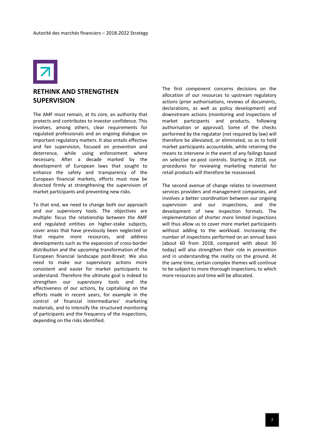

#### **RETHINK AND STRENGTHEN SUPERVISION**

The AMF must remain, at its core, an authority that protects and contributes to investor confidence. This involves, among others, clear requirements for regulated professionals and an ongoing dialogue on important regulatory matters. It also entails effective and fair supervision, focused on prevention and deterrence, while using enforcement where necessary. After a decade marked by the development of European laws that sought to enhance the safety and transparency of the European financial markets, efforts must now be directed firmly at strengthening the supervision of market participants and preventing new risks.

To that end, we need to change both our approach and our supervisory tools. The objectives are multiple: focus the relationship between the AMF and regulated entities on higher-stake subjects, cover areas that have previously been neglected or that require more resources, and address developments such as the expansion of cross-border distribution and the upcoming transformation of the European financial landscape post-Brexit. We also need to make our supervisory actions more consistent and easier for market participants to understand. Therefore the ultimate goal is indeed to strengthen our supervisory tools and the effectiveness of our actions, by capitalising on the efforts made in recent years, for example in the control of financial intermediaries' marketing materials, and to intensify the structured monitoring of participants and the frequency of the inspections, depending on the risks identified.

The first component concerns decisions on the allocation of our resources to upstream regulatory actions (prior authorisations, reviews of documents, declarations, as well as policy development) and downstream actions (monitoring and inspections of market participants and products, following authorisation or approval). Some of the checks performed by the regulator (not required by law) will therefore be alleviated, or eliminated, so as to hold market participants accountable, while retaining the means to intervene in the event of any failings based on selective ex-post controls. Starting in 2018, our procedures for reviewing marketing material for retail products will therefore be reassessed.

The second avenue of change relates to investment services providers and management companies, and involves a better coordination between our ongoing supervision and our inspections, and the development of new inspection formats. The implementation of shorter more limited inspections will thus allow us to cover more market participants without adding to the workload. Increasing the number of inspections performed on an annual basis (about 60 from 2018, compared with about 30 today) will also strengthen their role in prevention and in understanding the reality on the ground. At the same time, certain complex themes will continue to be subject to more thorough inspections, to which more resources and time will be allocated.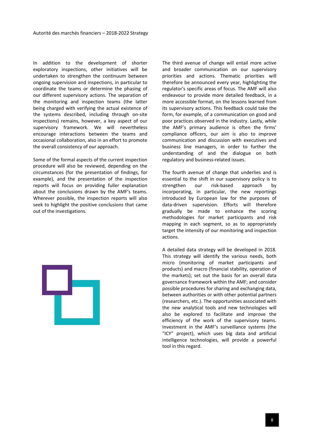In addition to the development of shorter exploratory inspections, other initiatives will be undertaken to strengthen the continuum between ongoing supervision and inspections, in particular to coordinate the teams or determine the phasing of our different supervisory actions. The separation of the monitoring and inspection teams (the latter being charged with verifying the actual existence of the systems described, including through on-site inspections) remains, however, a key aspect of our supervisory framework. We will nevertheless encourage interactions between the teams and occasional collaboration, also in an effort to promote the overall consistency of our approach.

Some of the formal aspects of the current inspection procedure will also be reviewed, depending on the circumstances (for the presentation of findings, for example), and the presentation of the inspection reports will focus on providing fuller explanation about the conclusions drawn by the AMF's teams. Wherever possible, the inspection reports will also seek to highlight the positive conclusions that came out of the investigations.

The third avenue of change will entail more active and broader communication on our supervisory priorities and actions. Thematic priorities will therefore be announced every year, highlighting the regulator's specific areas of focus. The AMF will also endeavour to provide more detailed feedback, in a more accessible format, on the lessons learned from its supervisory actions. This feedback could take the form, for example, of a communication on good and poor practices observed in the industry. Lastly, while the AMF's primary audience is often the firms' compliance officers, our aim is also to improve communication and discussion with executives and business line managers, in order to further the understanding of and the dialogue on both regulatory and business-related issues.

The fourth avenue of change that underlies and is essential to the shift in our supervisory policy is to strengthen our risk-based approach by incorporating, in particular, the new reportings introduced by European law for the purposes of data-driven supervision. Efforts will therefore gradually be made to enhance the scoring methodologies for market participants and risk mapping in each segment, so as to appropriately target the intensity of our monitoring and inspection actions.

A detailed data strategy will be developed in 2018. This strategy will identify the various needs, both micro (monitoring of market participants and products) and macro (financial stability, operation of the markets); set out the basis for an overall data governance framework within the AMF; and consider possible procedures for sharing and exchanging data, between authorities or with other potential partners (researchers, etc.). The opportunities associated with the new analytical tools and new technologies will also be explored to facilitate and improve the efficiency of the work of the supervisory teams. Investment in the AMF's surveillance systems (the "ICY" project), which uses big data and artificial intelligence technologies, will provide a powerful tool in this regard.

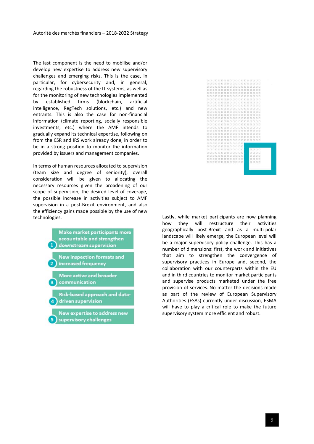The last component is the need to mobilise and/or develop new expertise to address new supervisory challenges and emerging risks. This is the case, in particular, for cybersecurity and, in general, regarding the robustness of the IT systems, as well as for the monitoring of new technologies implemented by established firms (blockchain, artificial intelligence, RegTech solutions, etc.) and new entrants. This is also the case for non-financial information (climate reporting, socially responsible investments, etc.) where the AMF intends to gradually expand its technical expertise, following on from the CSR and IRS work already done, in order to be in a strong position to monitor the information provided by issuers and management companies.

In terms of human resources allocated to supervision (team size and degree of seniority), overall consideration will be given to allocating the necessary resources given the broadening of our scope of supervision, the desired level of coverage, the possible increase in activities subject to AMF supervision in a post-Brexit environment, and also the efficiency gains made possible by the use of new





technologies. Lastly, while market participants are now planning how they will restructure their activities geographically post-Brexit and as a multi-polar landscape will likely emerge, the European level will be a major supervisory policy challenge. This has a number of dimensions: first, the work and initiatives that aim to strengthen the convergence of supervisory practices in Europe and, second, the collaboration with our counterparts within the EU and in third countries to monitor market participants and supervise products marketed under the free provision of services. No matter the decisions made as part of the review of European Supervisory Authorities (ESAs) currently under discussion, ESMA will have to play a critical role to make the future supervisory system more efficient and robust.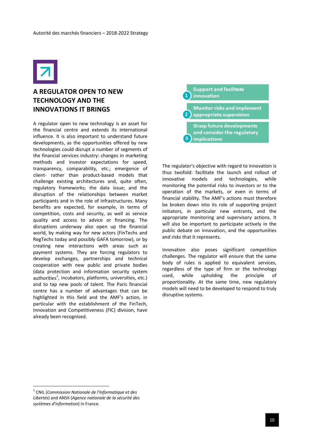

## **A REGULATOR OPEN TO NEW TECHNOLOGY AND THE INNOVATIONS IT BRINGS**

A regulator open to new technology is an asset for the financial centre and extends its international influence. It is also important to understand future developments, as the opportunities offered by new technologies could disrupt a number of segments of the financial services industry: changes in marketing methods and investor expectations for speed, transparency, comparability, etc.; emergence of client- rather than product-based models that challenge existing architectures and, quite often, regulatory frameworks; the data issue; and the disruption of the relationships between market participants and in the role of infrastructures. Many benefits are expected, for example, in terms of competition, costs and security, as well as service quality and access to advice or financing. The disruptions underway also open up the financial world, by making way for new actors (FinTechs and RegTechs today and possibly GAFA tomorrow), or by creating new interactions with areas such as payment systems. They are forcing regulators to develop exchanges, partnerships and technical cooperation with new public and private bodies (data protection and information security system authorities<sup>1</sup>, incubators, platforms, universities, etc.) and to tap new pools of talent. The Paris financial centre has a number of advantages that can be highlighted in this field and the AMF's action, in particular with the establishment of the FinTech, Innovation and Competitiveness (FIC) division, have already been recognised.

**Support and facilitate** innovation

**Monitor risks and implement** appropriate supervision

**Grasp future developments** and consider the regulatory 3) implications

The regulator's objective with regard to innovation is thus twofold: facilitate the launch and rollout of innovative models and technologies, while monitoring the potential risks to investors or to the operation of the markets, or even in terms of financial stability. The AMF's actions must therefore be broken down into its role of supporting project initiators, in particular new entrants, and the appropriate monitoring and supervisory actions. It will also be important to participate actively in the public debate on innovation, and the opportunities and risks that it represents.

Innovation also poses significant competition challenges. The regulator will ensure that the same body of rules is applied to equivalent services, regardless of the type of firm or the technology used, while upholding the principle of proportionality. At the same time, new regulatory models will need to be developed to respond to truly disruptive systems.

1

<sup>1</sup> CNIL (*Commission Nationale de l'Informatique et des Libertés*) and ANSII (*Agence nationale de la sécurité des systèmes d'information*) in France.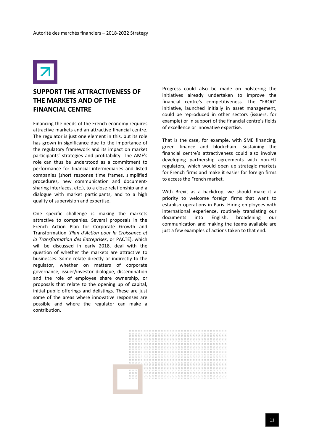

#### **SUPPORT THE ATTRACTIVENESS OF THE MARKETS AND OF THE FINANCIAL CENTRE**

Financing the needs of the French economy requires attractive markets and an attractive financial centre. The regulator is just one element in this, but its role has grown in significance due to the importance of the regulatory framework and its impact on market participants' strategies and profitability. The AMF's role can thus be understood as a commitment to performance for financial intermediaries and listed companies (short response time frames, simplified procedures, new communication and documentsharing interfaces, etc.), to a close relationship and a dialogue with market participants, and to a high quality of supervision and expertise.

One specific challenge is making the markets attractive to companies. Several proposals in the French Action Plan for Corporate Growth and Transformation (*Plan d'Action pour la Croissance et la Transformation des Entreprises*, or PACTE), which will be discussed in early 2018, deal with the question of whether the markets are attractive to businesses. Some relate directly or indirectly to the regulator, whether on matters of corporate governance, issuer/investor dialogue, dissemination and the role of employee share ownership, or proposals that relate to the opening up of capital, initial public offerings and delistings. These are just some of the areas where innovative responses are possible and where the regulator can make a contribution.

Progress could also be made on bolstering the initiatives already undertaken to improve the financial centre's competitiveness. The "FROG" initiative, launched initially in asset management, could be reproduced in other sectors (issuers, for example) or in support of the financial centre's fields of excellence or innovative expertise.

That is the case, for example, with SME financing, green finance and blockchain. Sustaining the financial centre's attractiveness could also involve developing partnership agreements with non-EU regulators, which would open up strategic markets for French firms and make it easier for foreign firms to access the French market.

With Brexit as a backdrop, we should make it a priority to welcome foreign firms that want to establish operations in Paris. Hiring employees with international experience, routinely translating our documents into English, broadening our communication and making the teams available are just a few examples of actions taken to that end.

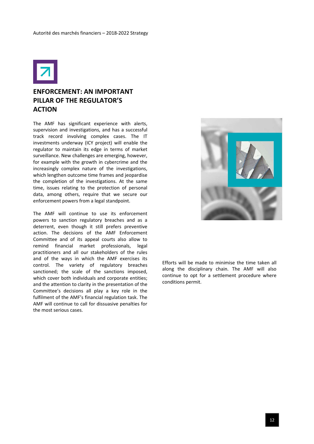

## **ENFORCEMENT: AN IMPORTANT PILLAR OF THE REGULATOR'S ACTION**

The AMF has significant experience with alerts, supervision and investigations, and has a successful track record involving complex cases. The IT investments underway (ICY project) will enable the regulator to maintain its edge in terms of market surveillance. New challenges are emerging, however, for example with the growth in cybercrime and the increasingly complex nature of the investigations, which lengthen outcome time frames and jeopardise the completion of the investigations. At the same time, issues relating to the protection of personal data, among others, require that we secure our enforcement powers from a legal standpoint.

The AMF will continue to use its enforcement powers to sanction regulatory breaches and as a deterrent, even though it still prefers preventive action. The decisions of the AMF Enforcement Committee and of its appeal courts also allow to remind financial market professionals, legal practitioners and all our stakeholders of the rules and of the ways in which the AMF exercises its control. The variety of regulatory breaches sanctioned; the scale of the sanctions imposed, which cover both individuals and corporate entities; and the attention to clarity in the presentation of the Committee's decisions all play a key role in the fulfilment of the AMF's financial regulation task. The AMF will continue to call for dissuasive penalties for the most serious cases.



Efforts will be made to minimise the time taken all along the disciplinary chain. The AMF will also continue to opt for a settlement procedure where conditions permit.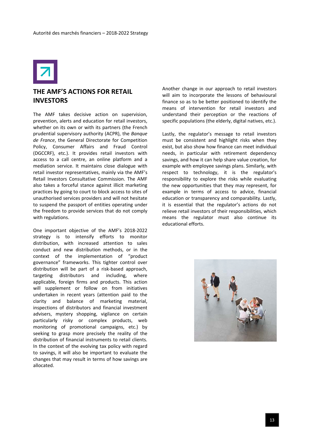

#### **THE AMF'S ACTIONS FOR RETAIL INVESTORS**

The AMF takes decisive action on supervision, prevention, alerts and education for retail investors, whether on its own or with its partners (the French prudential supervisory authority (ACPR), the *Banque de France*, the General Directorate for Competition Policy, Consumer Affairs and Fraud Control (DGCCRF), etc.). It provides retail investors with access to a call centre, an online platform and a mediation service. It maintains close dialogue with retail investor representatives, mainly via the AMF's Retail Investors Consultative Commission. The AMF also takes a forceful stance against illicit marketing practices by going to court to block access to sites of unauthorised services providers and will not hesitate to suspend the passport of entities operating under the freedom to provide services that do not comply with regulations.

One important objective of the AMF's 2018-2022 strategy is to intensify efforts to monitor distribution, with increased attention to sales conduct and new distribution methods, or in the context of the implementation of "product governance" frameworks. This tighter control over distribution will be part of a risk-based approach, targeting distributors and including, where applicable, foreign firms and products. This action will supplement or follow on from initiatives undertaken in recent years (attention paid to the clarity and balance of marketing material, inspections of distributors and financial investment advisers, mystery shopping, vigilance on certain particularly risky or complex products, web monitoring of promotional campaigns, etc.) by seeking to grasp more precisely the reality of the distribution of financial instruments to retail clients. In the context of the evolving tax policy with regard to savings, it will also be important to evaluate the changes that may result in terms of how savings are allocated.

Another change in our approach to retail investors will aim to incorporate the lessons of behavioural finance so as to be better positioned to identify the means of intervention for retail investors and understand their perception or the reactions of specific populations (the elderly, digital natives, etc.).

Lastly, the regulator's message to retail investors must be consistent and highlight risks when they exist, but also show how finance can meet individual needs, in particular with retirement dependency savings, and how it can help share value creation, for example with employee savings plans. Similarly, with respect to technology, it is the regulator's responsibility to explore the risks while evaluating the new opportunities that they may represent, for example in terms of access to advice, financial education or transparency and comparability. Lastly, it is essential that the regulator's actions do not relieve retail investors of their responsibilities, which means the regulator must also continue its educational efforts.

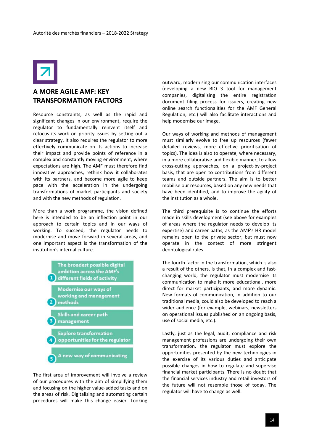

#### **A MORE AGILE AMF: KEY TRANSFORMATION FACTORS**

Resource constraints, as well as the rapid and significant changes in our environment, require the regulator to fundamentally reinvent itself and refocus its work on priority issues by setting out a clear strategy. It also requires the regulator to more effectively communicate on its actions to increase their impact and provide points of reference in a complex and constantly moving environment, where expectations are high. The AMF must therefore find innovative approaches, rethink how it collaborates with its partners, and become more agile to keep pace with the acceleration in the undergoing transformations of market participants and society and with the new methods of regulation.

More than a work programme, the vision defined here is intended to be an inflection point in our approach to certain topics and in our ways of working. To succeed, the regulator needs to modernise and move forward in several areas, and one important aspect is the transformation of the institution's internal culture.



The first area of improvement will involve a review of our procedures with the aim of simplifying them and focusing on the higher value-added tasks and on the areas of risk. Digitalising and automating certain procedures will make this change easier. Looking outward, modernising our communication interfaces (developing a new BIO 3 tool for management companies, digitalising the entire registration document filing process for issuers, creating new online search functionalities for the AMF General Regulation, etc.) will also facilitate interactions and help modernise our image.

Our ways of working and methods of management must similarly evolve to free up resources (fewer detailed reviews, more effective prioritisation of topics). The idea is also to operate, where necessary, in a more collaborative and flexible manner, to allow cross-cutting approaches, on a project-by-project basis, that are open to contributions from different teams and outside partners. The aim is to better mobilise our resources, based on any new needs that have been identified, and to improve the agility of the institution as a whole.

The third prerequisite is to continue the efforts made in skills development (see above for examples of areas where the regulator needs to develop its expertise) and career paths, as the AMF's HR model remains open to the private sector, but must now operate in the context of more stringent deontological rules.

The fourth factor in the transformation, which is also a result of the others, is that, in a complex and fastchanging world, the regulator must modernise its communication to make it more educational, more direct for market participants, and more dynamic. New formats of communication, in addition to our traditional media, could also be developed to reach a wider audience (for example, webinars, newsletters on operational issues published on an ongoing basis, use of social media, etc.).

Lastly, just as the legal, audit, compliance and risk management professions are undergoing their own transformation, the regulator must explore the opportunities presented by the new technologies in the exercise of its various duties and anticipate possible changes in how to regulate and supervise financial market participants. There is no doubt that the financial services industry and retail investors of the future will not resemble those of today. The regulator will have to change as well.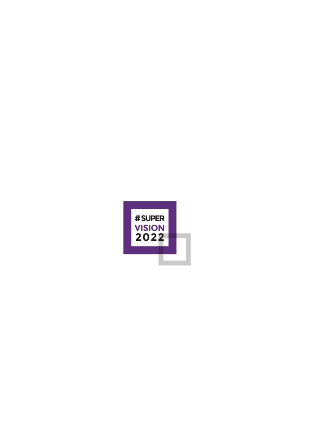